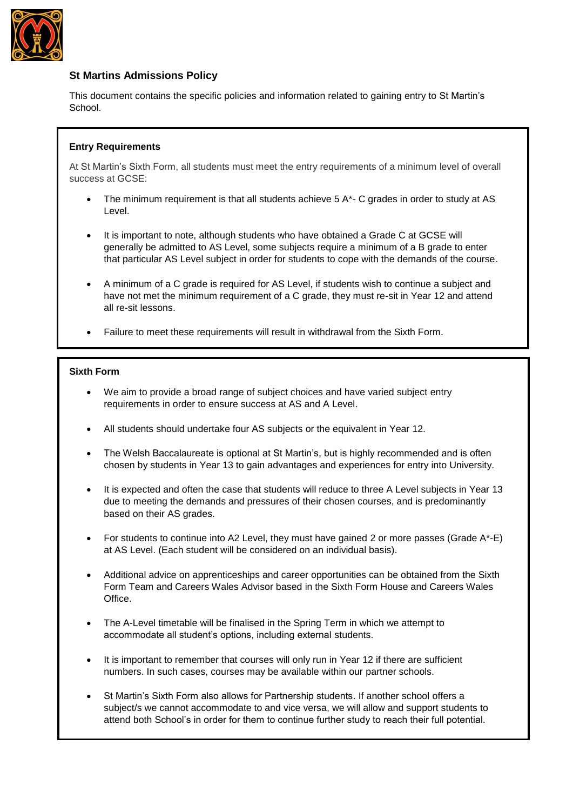

# **St Martins Admissions Policy**

This document contains the specific policies and information related to gaining entry to St Martin's School.

## **Entry Requirements**

At St Martin's Sixth Form, all students must meet the entry requirements of a minimum level of overall success at GCSE:

- The minimum requirement is that all students achieve 5 A\*- C grades in order to study at AS Level.
- It is important to note, although students who have obtained a Grade C at GCSE will generally be admitted to AS Level, some subjects require a minimum of a B grade to enter that particular AS Level subject in order for students to cope with the demands of the course.
- A minimum of a C grade is required for AS Level, if students wish to continue a subject and have not met the minimum requirement of a C grade, they must re-sit in Year 12 and attend all re-sit lessons.
- Failure to meet these requirements will result in withdrawal from the Sixth Form.

## **Sixth Form**

- We aim to provide a broad range of subject choices and have varied subject entry requirements in order to ensure success at AS and A Level.
- All students should undertake four AS subjects or the equivalent in Year 12.
- The Welsh Baccalaureate is optional at St Martin's, but is highly recommended and is often chosen by students in Year 13 to gain advantages and experiences for entry into University.
- It is expected and often the case that students will reduce to three A Level subjects in Year 13 due to meeting the demands and pressures of their chosen courses, and is predominantly based on their AS grades.
- For students to continue into A2 Level, they must have gained 2 or more passes (Grade A\*-E) at AS Level. (Each student will be considered on an individual basis).
- Additional advice on apprenticeships and career opportunities can be obtained from the Sixth Form Team and Careers Wales Advisor based in the Sixth Form House and Careers Wales **Office**
- The A-Level timetable will be finalised in the Spring Term in which we attempt to accommodate all student's options, including external students.
- It is important to remember that courses will only run in Year 12 if there are sufficient numbers. In such cases, courses may be available within our partner schools.
- St Martin's Sixth Form also allows for Partnership students. If another school offers a subject/s we cannot accommodate to and vice versa, we will allow and support students to attend both School's in order for them to continue further study to reach their full potential.